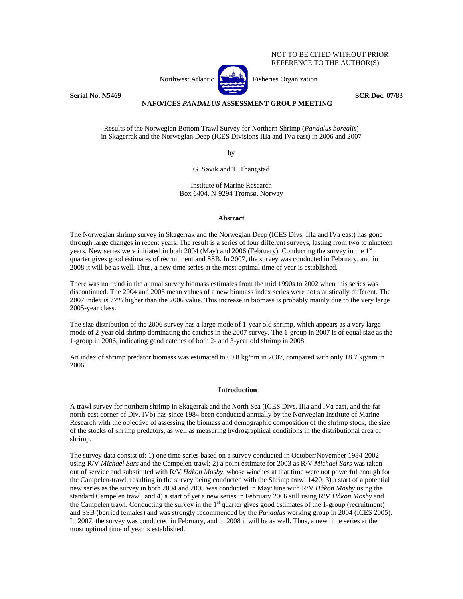NOT TO BE CITED WITHOUT PRIOR REFERENCE TO THE AUTHOR(S)

Northwest Atlantic **No. 2018** Fisheries Organization



# **Serial No. N5469** SCR Doc. 07/83

# **NAFO/ICES** *PANDALUS* **ASSESSMENT GROUP MEETING**

Results of the Norwegian Bottom Trawl Survey for Northern Shrimp (*Pandalus borealis*) in Skagerrak and the Norwegian Deep (ICES Divisions IIIa and IVa east) in 2006 and 2007

by

G. Søvik and T. Thangstad

Institute of Marine Research Box 6404, N-9294 Tromsø, Norway

# **Abstract**

The Norwegian shrimp survey in Skagerrak and the Norwegian Deep (ICES Divs. IIIa and IVa east) has gone through large changes in recent years. The result is a series of four different surveys, lasting from two to nineteen years. New series were initiated in both 2004 (May) and 2006 (February). Conducting the survey in the 1<sup>st</sup> quarter gives good estimates of recruitment and SSB. In 2007, the survey was conducted in February, and in 2008 it will be as well. Thus, a new time series at the most optimal time of year is established.

There was no trend in the annual survey biomass estimates from the mid 1990s to 2002 when this series was discontinued. The 2004 and 2005 mean values of a new biomass index series were not statistically different. The 2007 index is 77% higher than the 2006 value. This increase in biomass is probably mainly due to the very large 2005-year class.

The size distribution of the 2006 survey has a large mode of 1-year old shrimp, which appears as a very large mode of 2-year old shrimp dominating the catches in the 2007 survey. The 1-group in 2007 is of equal size as the 1-group in 2006, indicating good catches of both 2- and 3-year old shrimp in 2008.

An index of shrimp predator biomass was estimated to 60.8 kg/nm in 2007, compared with only 18.7 kg/nm in 2006.

### **Introduction**

A trawl survey for northern shrimp in Skagerrak and the North Sea (ICES Divs. IIIa and IVa east, and the far north-east corner of Div. IVb) has since 1984 been conducted annually by the Norwegian Institute of Marine Research with the objective of assessing the biomass and demographic composition of the shrimp stock, the size of the stocks of shrimp predators, as well as measuring hydrographical conditions in the distributional area of shrimp.

The survey data consist of: 1) one time series based on a survey conducted in October/November 1984-2002 using R/V *Michael Sars* and the Campelen-trawl; 2) a point estimate for 2003 as R/V *Michael Sars* was taken out of service and substituted with R/V *Håkon Mosby*, whose winches at that time were not powerful enough for the Campelen-trawl, resulting in the survey being conducted with the Shrimp trawl 1420; 3) a start of a potential new series as the survey in both 2004 and 2005 was conducted in May/June with R/V *Håkon Mosby* using the standard Campelen trawl; and 4) a start of yet a new series in February 2006 still using R/V *Håkon Mosby* and the Campelen trawl. Conducting the survey in the  $1<sup>st</sup>$  quarter gives good estimates of the 1-group (recruitment) and SSB (berried females) and was strongly recommended by the *Pandalus* working group in 2004 (ICES 2005). In 2007, the survey was conducted in February, and in 2008 it will be as well. Thus, a new time series at the most optimal time of year is established.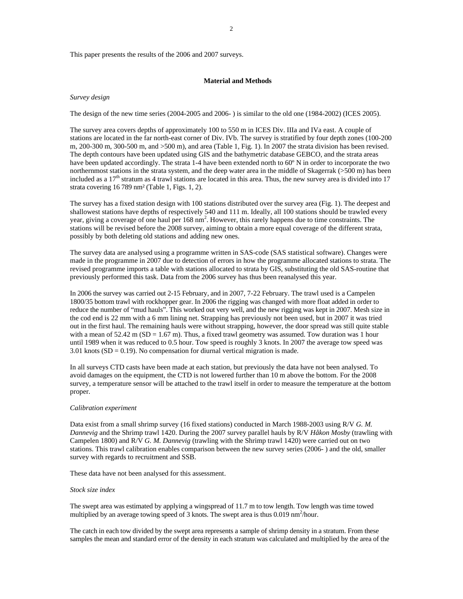This paper presents the results of the 2006 and 2007 surveys.

### **Material and Methods**

### *Survey design*

The design of the new time series (2004-2005 and 2006- ) is similar to the old one (1984-2002) (ICES 2005).

The survey area covers depths of approximately 100 to 550 m in ICES Div. IIIa and IVa east. A couple of stations are located in the far north-east corner of Div. IVb. The survey is stratified by four depth zones (100-200 m, 200-300 m, 300-500 m, and >500 m), and area (Table 1, Fig. 1). In 2007 the strata division has been revised. The depth contours have been updated using GIS and the bathymetric database GEBCO, and the strata areas have been updated accordingly. The strata 1-4 have been extended north to 60º N in order to incorporate the two northernmost stations in the strata system, and the deep water area in the middle of Skagerrak (>500 m) has been included as a  $17<sup>th</sup>$  stratum as 4 trawl stations are located in this area. Thus, the new survey area is divided into  $17$ strata covering 16 789 nm² (Table 1, Figs. 1, 2).

The survey has a fixed station design with 100 stations distributed over the survey area (Fig. 1). The deepest and shallowest stations have depths of respectively 540 and 111 m. Ideally, all 100 stations should be trawled every year, giving a coverage of one haul per 168 nm<sup>2</sup>. However, this rarely happens due to time constraints. The stations will be revised before the 2008 survey, aiming to obtain a more equal coverage of the different strata, possibly by both deleting old stations and adding new ones.

The survey data are analysed using a programme written in SAS-code (SAS statistical software). Changes were made in the programme in 2007 due to detection of errors in how the programme allocated stations to strata. The revised programme imports a table with stations allocated to strata by GIS, substituting the old SAS-routine that previously performed this task. Data from the 2006 survey has thus been reanalysed this year.

In 2006 the survey was carried out 2-15 February, and in 2007, 7-22 February. The trawl used is a Campelen 1800/35 bottom trawl with rockhopper gear. In 2006 the rigging was changed with more float added in order to reduce the number of "mud hauls". This worked out very well, and the new rigging was kept in 2007. Mesh size in the cod end is 22 mm with a 6 mm lining net. Strapping has previously not been used, but in 2007 it was tried out in the first haul. The remaining hauls were without strapping, however, the door spread was still quite stable with a mean of  $52.42 \text{ m}$  (SD = 1.67 m). Thus, a fixed trawl geometry was assumed. Tow duration was 1 hour until 1989 when it was reduced to 0.5 hour. Tow speed is roughly 3 knots. In 2007 the average tow speed was 3.01 knots  $(SD = 0.19)$ . No compensation for diurnal vertical migration is made.

In all surveys CTD casts have been made at each station, but previously the data have not been analysed. To avoid damages on the equipment, the CTD is not lowered further than 10 m above the bottom. For the 2008 survey, a temperature sensor will be attached to the trawl itself in order to measure the temperature at the bottom proper.

#### *Calibration experiment*

Data exist from a small shrimp survey (16 fixed stations) conducted in March 1988-2003 using R/V *G. M. Dannevig* and the Shrimp trawl 1420. During the 2007 survey parallel hauls by R/V *Håkon Mosby* (trawling with Campelen 1800) and R/V *G. M. Dannevig* (trawling with the Shrimp trawl 1420) were carried out on two stations. This trawl calibration enables comparison between the new survey series (2006- ) and the old, smaller survey with regards to recruitment and SSB.

These data have not been analysed for this assessment.

# *Stock size index*

The swept area was estimated by applying a wingspread of 11.7 m to tow length. Tow length was time towed multiplied by an average towing speed of 3 knots. The swept area is thus  $0.019 \text{ nm}^2/\text{hour}$ .

The catch in each tow divided by the swept area represents a sample of shrimp density in a stratum. From these samples the mean and standard error of the density in each stratum was calculated and multiplied by the area of the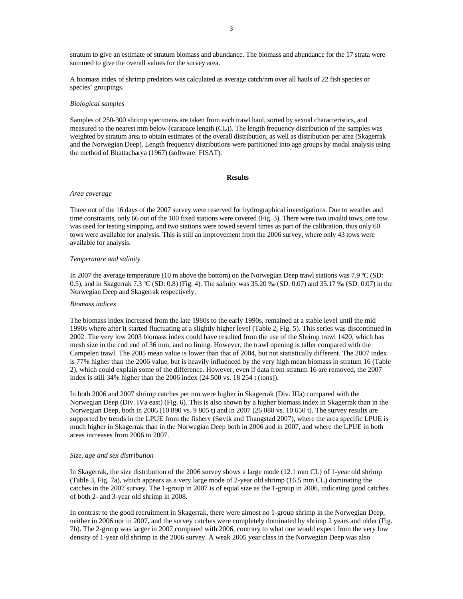stratum to give an estimate of stratum biomass and abundance. The biomass and abundance for the 17 strata were summed to give the overall values for the survey area.

A biomass index of shrimp predators was calculated as average catch/nm over all hauls of 22 fish species or species' groupings.

#### *Biological samples*

Samples of 250-300 shrimp specimens are taken from each trawl haul, sorted by sexual characteristics, and measured to the nearest mm below (carapace length (CL)). The length frequency distribution of the samples was weighted by stratum area to obtain estimates of the overall distribution, as well as distribution per area (Skagerrak and the Norwegian Deep). Length frequency distributions were partitioned into age groups by modal analysis using the method of Bhattacharya (1967) (software: FISAT).

#### **Results**

### *Area coverage*

Three out of the 16 days of the 2007 survey were reserved for hydrographical investigations. Due to weather and time constraints, only 66 out of the 100 fixed stations were covered (Fig. 3). There were two invalid tows, one tow was used for testing strapping, and two stations were towed several times as part of the calibration, thus only 60 tows were available for analysis. This is still an improvement from the 2006 survey, where only 43 tows were available for analysis.

# *Temperature and salinity*

In 2007 the average temperature (10 m above the bottom) on the Norwegian Deep trawl stations was 7.9 ºC (SD: 0.5), and in Skagerrak 7.3 ºC (SD: 0.8) (Fig. 4). The salinity was 35.20 ‰ (SD: 0.07) and 35.17 ‰ (SD: 0.07) in the Norwegian Deep and Skagerrak respectively.

# *Biomass indices*

The biomass index increased from the late 1980s to the early 1990s, remained at a stable level until the mid 1990s where after it started fluctuating at a slightly higher level (Table 2, Fig. 5). This series was discontinued in 2002. The very low 2003 biomass index could have resulted from the use of the Shrimp trawl 1420, which has mesh size in the cod end of 36 mm, and no lining. However, the trawl opening is taller compared with the Campelen trawl. The 2005 mean value is lower than that of 2004, but not statistically different. The 2007 index is 77% higher than the 2006 value, but is heavily influenced by the very high mean biomass in stratum 16 (Table 2), which could explain some of the difference. However, even if data from stratum 16 are removed, the 2007 index is still 34% higher than the 2006 index (24 500 vs. 18 254 t (tons)).

In both 2006 and 2007 shrimp catches per nm were higher in Skagerrak (Div. IIIa) compared with the Norwegian Deep (Div. IVa east) (Fig. 6). This is also shown by a higher biomass index in Skagerrak than in the Norwegian Deep, both in 2006 (10 890 vs. 9 805 t) and in 2007 (26 080 vs. 10 650 t). The survey results are supported by trends in the LPUE from the fishery (Søvik and Thangstad 2007), where the area specific LPUE is much higher in Skagerrak than in the Norwegian Deep both in 2006 and in 2007, and where the LPUE in both areas increases from 2006 to 2007.

#### *Size, age and sex distribution*

In Skagerrak, the size distribution of the 2006 survey shows a large mode (12.1 mm CL) of 1-year old shrimp (Table 3, Fig. 7a), which appears as a very large mode of 2-year old shrimp (16.5 mm CL) dominating the catches in the 2007 survey. The 1-group in 2007 is of equal size as the 1-group in 2006, indicating good catches of both 2- and 3-year old shrimp in 2008.

In contrast to the good recruitment in Skagerrak, there were almost no 1-group shrimp in the Norwegian Deep, neither in 2006 nor in 2007, and the survey catches were completely dominated by shrimp 2 years and older (Fig. 7b). The 2-group was larger in 2007 compared with 2006, contrary to what one would expect from the very low density of 1-year old shrimp in the 2006 survey. A weak 2005 year class in the Norwegian Deep was also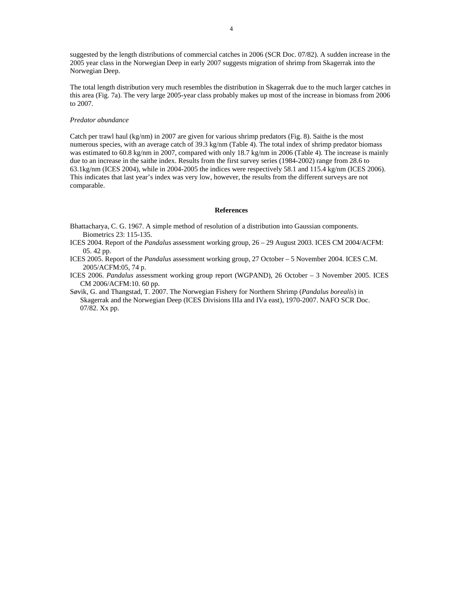suggested by the length distributions of commercial catches in 2006 (SCR Doc. 07/82). A sudden increase in the 2005 year class in the Norwegian Deep in early 2007 suggests migration of shrimp from Skagerrak into the Norwegian Deep.

The total length distribution very much resembles the distribution in Skagerrak due to the much larger catches in this area (Fig. 7a). The very large 2005-year class probably makes up most of the increase in biomass from 2006 to 2007.

# *Predator abundance*

Catch per trawl haul (kg/nm) in 2007 are given for various shrimp predators (Fig. 8). Saithe is the most numerous species, with an average catch of 39.3 kg/nm (Table 4). The total index of shrimp predator biomass was estimated to 60.8 kg/nm in 2007, compared with only 18.7 kg/nm in 2006 (Table 4). The increase is mainly due to an increase in the saithe index. Results from the first survey series (1984-2002) range from 28.6 to 63.1kg/nm (ICES 2004), while in 2004-2005 the indices were respectively 58.1 and 115.4 kg/nm (ICES 2006). This indicates that last year's index was very low, however, the results from the different surveys are not comparable.

## **References**

Bhattacharya, C. G. 1967. A simple method of resolution of a distribution into Gaussian components. Biometrics 23: 115-135.

- ICES 2004. Report of the *Pandalus* assessment working group, 26 29 August 2003. ICES CM 2004/ACFM: 05. 42 pp.
- ICES 2005. Report of the *Pandalus* assessment working group, 27 October 5 November 2004. ICES C.M. 2005/ACFM:05, 74 p.
- ICES 2006. *Pandalus* assessment working group report (WGPAND), 26 October 3 November 2005. ICES CM 2006/ACFM:10. 60 pp.
- Søvik, G. and Thangstad, T. 2007. The Norwegian Fishery for Northern Shrimp (*Pandalus borealis*) in Skagerrak and the Norwegian Deep (ICES Divisions IIIa and IVa east), 1970-2007. NAFO SCR Doc. 07/82. Xx pp.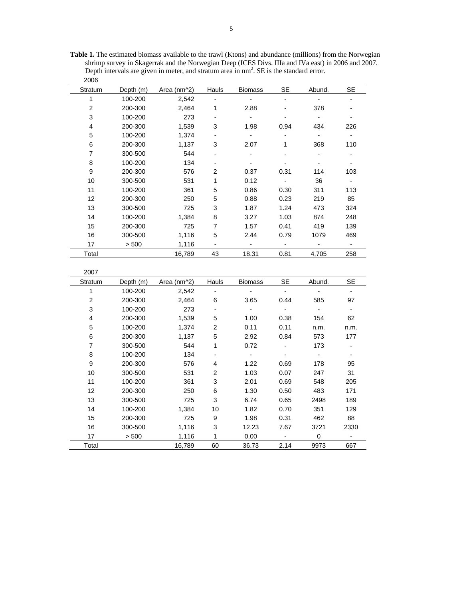**Table 1.** The estimated biomass available to the trawl (Ktons) and abundance (millions) from the Norwegian shrimp survey in Skagerrak and the Norwegian Deep (ICES Divs. IIIa and IVa east) in 2006 and 2007. Depth intervals are given in meter, and stratum area in  $nm<sup>2</sup>$ . SE is the standard error. 2006

| zuud                    |           |             |                           |                          |                          |                          |                          |
|-------------------------|-----------|-------------|---------------------------|--------------------------|--------------------------|--------------------------|--------------------------|
| Stratum                 | Depth (m) | Area (nm^2) | Hauls                     | <b>Biomass</b>           | SE                       | Abund.                   | <b>SE</b>                |
| $\mathbf{1}$            | 100-200   | 2,542       |                           |                          |                          |                          |                          |
| $\overline{c}$          | 200-300   | 2,464       | 1                         | 2.88                     |                          | 378                      |                          |
| 3                       | 100-200   | 273         | $\overline{\phantom{a}}$  | $\blacksquare$           |                          | $\overline{\phantom{a}}$ | $\overline{\phantom{0}}$ |
| $\overline{\mathbf{4}}$ | 200-300   | 1,539       | 3                         | 1.98                     | 0.94                     | 434                      | 226                      |
| 5                       | 100-200   | 1,374       |                           | $\overline{\phantom{0}}$ |                          | $\overline{\phantom{a}}$ | $\overline{\phantom{0}}$ |
| 6                       | 200-300   | 1,137       | 3                         | 2.07                     | 1                        | 368                      | 110                      |
| $\overline{7}$          | 300-500   | 544         |                           | $\blacksquare$           |                          | $\blacksquare$           | $\overline{\phantom{a}}$ |
| 8                       | 100-200   | 134         |                           |                          |                          |                          |                          |
| $\mathsf g$             | 200-300   | 576         | $\boldsymbol{2}$          | 0.37                     | 0.31                     | 114                      | 103                      |
| 10                      | 300-500   | 531         | 1                         | 0.12                     | $\blacksquare$           | 36                       | ÷.                       |
| 11                      | 100-200   | 361         | 5                         | 0.86                     | 0.30                     | 311                      | 113                      |
| 12                      | 200-300   | 250         | 5                         | 0.88                     | 0.23                     | 219                      | 85                       |
| 13                      | 300-500   | 725         | 3                         | 1.87                     | 1.24                     | 473                      | 324                      |
| 14                      | 100-200   | 1,384       | 8                         | 3.27                     | 1.03                     | 874                      | 248                      |
| 15                      | 200-300   | 725         | $\boldsymbol{7}$          | 1.57                     | 0.41                     | 419                      | 139                      |
| 16                      | 300-500   | 1,116       | 5                         | 2.44                     | 0.79                     | 1079                     | 469                      |
| 17                      | > 500     | 1,116       |                           | $\frac{1}{2}$            |                          | $\overline{\phantom{a}}$ | $\overline{\phantom{a}}$ |
| Total                   |           | 16,789      | 43                        | 18.31                    | 0.81                     | 4,705                    | 258                      |
|                         |           |             |                           |                          |                          |                          |                          |
| 2007                    |           |             |                           |                          |                          |                          |                          |
| Stratum                 | Depth (m) | Area (nm^2) | Hauls                     | <b>Biomass</b>           | <b>SE</b>                | Abund.                   | <b>SE</b>                |
| $\mathbf{1}$            | 100-200   | 2,542       | $\overline{a}$            |                          | $\overline{a}$           | $\overline{a}$           | $\overline{a}$           |
| $\sqrt{2}$              | 200-300   | 2,464       | 6                         | 3.65                     | 0.44                     | 585                      | 97                       |
| 3                       | 100-200   | 273         | $\overline{a}$            |                          | $\blacksquare$           | $\blacksquare$           | $\blacksquare$           |
| $\overline{\mathbf{4}}$ | 200-300   | 1,539       | $\mathbf 5$               | 1.00                     | 0.38                     | 154                      | 62                       |
| 5                       | 100-200   | 1,374       | $\boldsymbol{2}$          | 0.11                     | 0.11                     | n.m.                     | n.m.                     |
| 6                       | 200-300   | 1,137       | 5                         | 2.92                     | 0.84                     | 573                      | 177                      |
| $\boldsymbol{7}$        | 300-500   | 544         | 1                         | 0.72                     |                          | 173                      |                          |
| 8                       | 100-200   | 134         |                           | $\overline{\phantom{a}}$ | $\overline{\phantom{a}}$ | $\blacksquare$           | $\overline{\phantom{a}}$ |
| 9                       | 200-300   | 576         | 4                         | 1.22                     | 0.69                     | 178                      | 95                       |
| 10                      | 300-500   | 531         | $\boldsymbol{2}$          | 1.03                     | 0.07                     | 247                      | 31                       |
| 11                      | 100-200   | 361         | 3                         | 2.01                     | 0.69                     | 548                      | 205                      |
| 12                      | 200-300   | 250         | 6                         | 1.30                     | 0.50                     | 483                      | 171                      |
| 13                      | 300-500   | 725         | $\ensuremath{\mathsf{3}}$ | 6.74                     | 0.65                     | 2498                     | 189                      |
| 14                      | 100-200   | 1,384       | 10                        | 1.82                     | 0.70                     | 351                      | 129                      |
| 15                      | 200-300   | 725         | $\boldsymbol{9}$          | 1.98                     | 0.31                     | 462                      | 88                       |
| 16                      | 300-500   | 1,116       | $\ensuremath{\mathsf{3}}$ | 12.23                    | 7.67                     | 3721                     | 2330                     |
| 17                      | > 500     | 1,116       | 1                         | 0.00                     |                          | $\mathbf 0$              |                          |
| Total                   |           | 16,789      | 60                        | 36.73                    | 2.14                     | 9973                     | 667                      |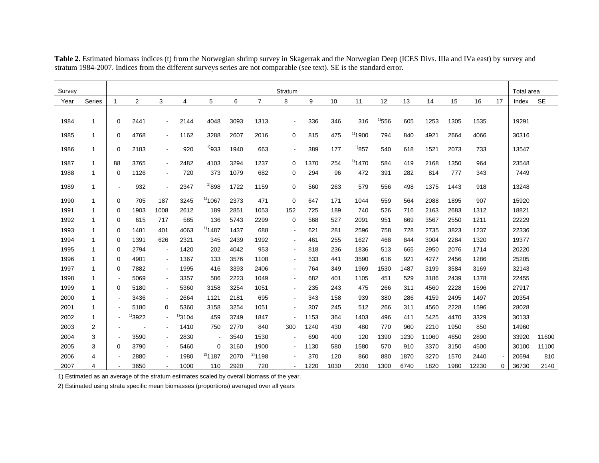| Survey |        |                          |                |                |      |                |      |                | Stratum                  |      |      |              |             |      |       |      |       |              | Total area |           |
|--------|--------|--------------------------|----------------|----------------|------|----------------|------|----------------|--------------------------|------|------|--------------|-------------|------|-------|------|-------|--------------|------------|-----------|
| Year   | Series |                          | $\overline{2}$ | 3              | 4    | 5              | 6    | $\overline{7}$ | 8                        | 9    | 10   | 11           | 12          | 13   | 14    | 15   | 16    | 17           | Index      | <b>SE</b> |
|        |        |                          |                |                |      |                |      |                |                          |      |      |              |             |      |       |      |       |              |            |           |
| 1984   | 1      | $\Omega$                 | 2441           | $\blacksquare$ | 2144 | 4048           | 3093 | 1313           | $\blacksquare$           | 336  | 346  | 316          | $^{11}$ 556 | 605  | 1253  | 1305 | 1535  |              | 19291      |           |
| 1985   | 1      | $\mathbf 0$              | 4768           | $\blacksquare$ | 1162 | 3288           | 2607 | 2016           | $\mathbf 0$              | 815  | 475  | $^{1)}$ 1900 | 794         | 840  | 4921  | 2664 | 4066  |              | 30316      |           |
| 1986   | 1      | $\mathbf 0$              | 2183           | $\blacksquare$ | 920  | $^{1)933}$     | 1940 | 663            | $\blacksquare$           | 389  | 177  | $^{1)}857$   | 540         | 618  | 1521  | 2073 | 733   |              | 13547      |           |
| 1987   | 1      | 88                       | 3765           | $\sim$         | 2482 | 4103           | 3294 | 1237           | $\Omega$                 | 1370 | 254  | $^{11}$ 1470 | 584         | 419  | 2168  | 1350 | 964   |              | 23548      |           |
| 1988   | 1      | $\mathbf 0$              | 1126           | $\sim$         | 720  | 373            | 1079 | 682            | 0                        | 294  | 96   | 472          | 391         | 282  | 814   | 777  | 343   |              | 7449       |           |
| 1989   | 1      | $\overline{\phantom{a}}$ | 932            | $\blacksquare$ | 2347 | $^{1)898}$     | 1722 | 1159           | $\mathbf 0$              | 560  | 263  | 579          | 556         | 498  | 1375  | 1443 | 918   |              | 13248      |           |
| 1990   | 1      | 0                        | 705            | 187            | 3245 | $^{11}$ 1067   | 2373 | 471            | $\mathbf 0$              | 647  | 171  | 1044         | 559         | 564  | 2088  | 1895 | 907   |              | 15920      |           |
| 1991   | -1     | $\Omega$                 | 1903           | 1008           | 2612 | 189            | 2851 | 1053           | 152                      | 725  | 189  | 740          | 526         | 716  | 2163  | 2683 | 1312  |              | 18821      |           |
| 1992   | -1     | 0                        | 615            | 717            | 585  | 136            | 5743 | 2299           | 0                        | 568  | 527  | 2091         | 951         | 669  | 3567  | 2550 | 1211  |              | 22229      |           |
| 1993   | -1     | 0                        | 1481           | 401            | 4063 | $^{1)}$ 1487   | 1437 | 688            | $\overline{\phantom{a}}$ | 621  | 281  | 2596         | 758         | 728  | 2735  | 3823 | 1237  |              | 22336      |           |
| 1994   | 1      | $\mathbf 0$              | 1391           | 626            | 2321 | 345            | 2439 | 1992           | $\overline{\phantom{a}}$ | 461  | 255  | 1627         | 468         | 844  | 3004  | 2284 | 1320  |              | 19377      |           |
| 1995   | 1      | 0                        | 2794           | $\blacksquare$ | 1420 | 202            | 4042 | 953            | $\overline{\phantom{a}}$ | 818  | 236  | 1836         | 513         | 665  | 2950  | 2076 | 1714  |              | 20220      |           |
| 1996   | 1      | 0                        | 4901           | $\blacksquare$ | 1367 | 133            | 3576 | 1108           | $\overline{\phantom{a}}$ | 533  | 441  | 3590         | 616         | 921  | 4277  | 2456 | 1286  |              | 25205      |           |
| 1997   | 1      | 0                        | 7882           | $\blacksquare$ | 1995 | 416            | 3393 | 2406           | $\overline{\phantom{a}}$ | 764  | 349  | 1969         | 1530        | 1487 | 3199  | 3584 | 3169  |              | 32143      |           |
| 1998   | 1      |                          | 5069           | $\blacksquare$ | 3357 | 586            | 2223 | 1049           | $\overline{\phantom{a}}$ | 682  | 401  | 1105         | 451         | 529  | 3186  | 2439 | 1378  |              | 22455      |           |
| 1999   | 1      | $\Omega$                 | 5180           | $\blacksquare$ | 5360 | 3158           | 3254 | 1051           | $\blacksquare$           | 235  | 243  | 475          | 266         | 311  | 4560  | 2228 | 1596  |              | 27917      |           |
| 2000   | 1      | $\blacksquare$           | 3436           | $\blacksquare$ | 2664 | 1121           | 2181 | 695            | $\overline{\phantom{a}}$ | 343  | 158  | 939          | 380         | 286  | 4159  | 2495 | 1497  |              | 20354      |           |
| 2001   | 1      |                          | 5180           | 0              | 5360 | 3158           | 3254 | 1051           |                          | 307  | 245  | 512          | 266         | 311  | 4560  | 2228 | 1596  |              | 28028      |           |
| 2002   | 1      | $\blacksquare$           | 3922           | $\sim$         | 3104 | 459            | 3749 | 1847           |                          | 1153 | 364  | 1403         | 496         | 411  | 5425  | 4470 | 3329  |              | 30133      |           |
| 2003   | 2      |                          |                | $\blacksquare$ | 1410 | 750            | 2770 | 840            | 300                      | 1240 | 430  | 480          | 770         | 960  | 2210  | 1950 | 850   |              | 14960      |           |
| 2004   | 3      | $\overline{\phantom{a}}$ | 3590           | $\blacksquare$ | 2830 | $\blacksquare$ | 3540 | 1530           |                          | 690  | 400  | 120          | 1390        | 1230 | 11060 | 4650 | 2890  |              | 33920      | 11600     |
| 2005   | 3      | $\mathbf 0$              | 3790           | $\blacksquare$ | 5460 | 0              | 3160 | 1900           |                          | 1130 | 580  | 1580         | 570         | 910  | 3370  | 3150 | 4500  |              | 30100      | 11100     |
| 2006   | 4      |                          | 2880           | $\blacksquare$ | 1980 | $^{2)}$ 1187   | 2070 | $^{2)}$ 1198   |                          | 370  | 120  | 860          | 880         | 1870 | 3270  | 1570 | 2440  |              | 20694      | 810       |
| 2007   | 4      |                          | 3650           |                | 1000 | 110            | 2920 | 720            |                          | 1220 | 1030 | 2010         | 1300        | 6740 | 1820  | 1980 | 12230 | $\mathbf{0}$ | 36730      | 2140      |

Table 2. Estimated biomass indices (t) from the Norwegian shrimp survey in Skagerrak and the Norwegian Deep (ICES Divs. IIIa and IVa east) by survey and stratum 1984-2007. Indices from the different surveys series are not comparable (see text). SE is the standard error.

1) Estimated as an average of the stratum estimates scaled by overall biomass of the year.

2) Estimated using strata specific mean biomasses (proportions) averaged over all years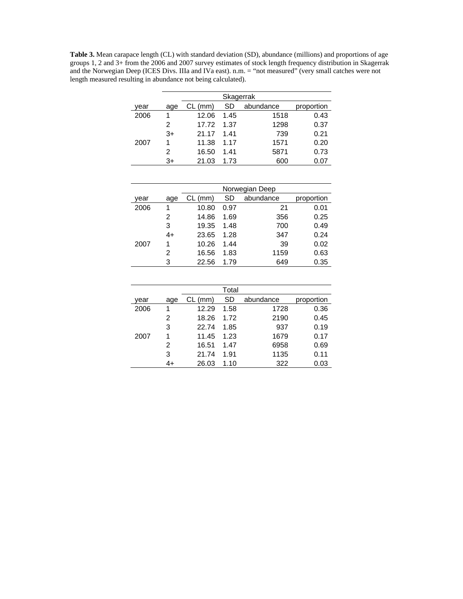**Table 3.** Mean carapace length (CL) with standard deviation (SD), abundance (millions) and proportions of age groups 1, 2 and 3+ from the 2006 and 2007 survey estimates of stock length frequency distribution in Skagerrak and the Norwegian Deep (ICES Divs. IIIa and IVa east). n.m. = "not measured" (very small catches were not length measured resulting in abundance not being calculated).

|      |      | Skagerrak |      |           |            |  |  |  |  |  |  |
|------|------|-----------|------|-----------|------------|--|--|--|--|--|--|
| year | age  | CL (mm)   | SD   | abundance | proportion |  |  |  |  |  |  |
| 2006 |      | 12.06     | 1.45 | 1518      | 0.43       |  |  |  |  |  |  |
|      | 2    | 17.72     | 1.37 | 1298      | 0.37       |  |  |  |  |  |  |
|      | $3+$ | 21.17     | 141  | 739       | 0.21       |  |  |  |  |  |  |
| 2007 |      | 11.38     | 1 17 | 1571      | 0.20       |  |  |  |  |  |  |
|      | 2    | 16.50     | 1.41 | 5871      | 0.73       |  |  |  |  |  |  |
|      | 3+   | 21.03     | 1.73 | 600       | 0.07       |  |  |  |  |  |  |

|      |      | Norwegian Deep |      |           |            |  |  |  |  |  |
|------|------|----------------|------|-----------|------------|--|--|--|--|--|
| year | age  | $CL$ (mm)      | SD   | abundance | proportion |  |  |  |  |  |
| 2006 |      | 10.80          | 0.97 | 21        | 0.01       |  |  |  |  |  |
|      | 2    | 14.86          | 1.69 | 356       | 0.25       |  |  |  |  |  |
|      | 3    | 19.35          | 1.48 | 700       | 0.49       |  |  |  |  |  |
|      | $4+$ | 23.65          | 1.28 | 347       | 0.24       |  |  |  |  |  |
| 2007 | 1    | 10.26          | 1.44 | 39        | 0.02       |  |  |  |  |  |
|      | 2    | 16.56          | 1.83 | 1159      | 0.63       |  |  |  |  |  |
|      | 3    | 22.56          | 1.79 | 649       | 0.35       |  |  |  |  |  |

|      |     |         | Total |           |            |
|------|-----|---------|-------|-----------|------------|
| vear | age | CL (mm) | SD    | abundance | proportion |
| 2006 | 1   | 12.29   | 1.58  | 1728      | 0.36       |
|      | 2   | 18.26   | 1.72  | 2190      | 0.45       |
|      | 3   | 22.74   | 1.85  | 937       | 0.19       |
| 2007 | 1   | 11.45   | 1.23  | 1679      | 0.17       |
|      | 2   | 16.51   | 1.47  | 6958      | 0.69       |
|      | 3   | 21.74   | 1.91  | 1135      | 0.11       |
|      | 4+  | 26.03   | 1.10  | 322       | 0.03       |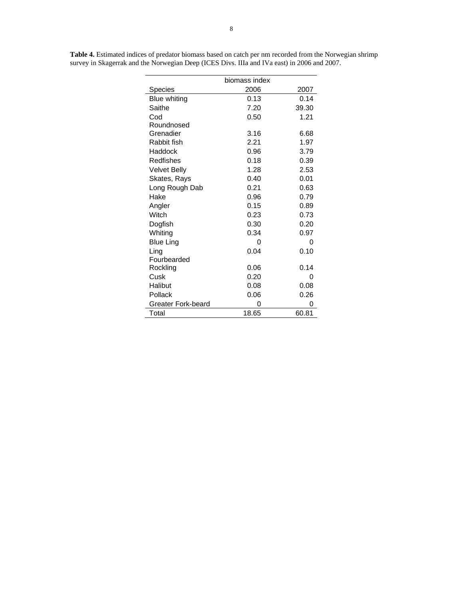|                     | biomass index |       |
|---------------------|---------------|-------|
| Species             | 2006          | 2007  |
| <b>Blue whiting</b> | 0.13          | 0.14  |
| Saithe              | 7.20          | 39.30 |
| Cod                 | 0.50          | 1.21  |
| Roundnosed          |               |       |
| Grenadier           | 3.16          | 6.68  |
| Rabbit fish         | 2.21          | 1.97  |
| Haddock             | 0.96          | 3.79  |
| Redfishes           | 0.18          | 0.39  |
| Velvet Belly        | 1.28          | 2.53  |
| Skates, Rays        | 0.40          | 0.01  |
| Long Rough Dab      | 0.21          | 0.63  |
| Hake                | 0.96          | 0.79  |
| Angler              | 0.15          | 0.89  |
| Witch               | 0.23          | 0.73  |
| Dogfish             | 0.30          | 0.20  |
| Whiting             | 0.34          | 0.97  |
| <b>Blue Ling</b>    | $\Omega$      | 0     |
| Ling                | 0.04          | 0.10  |
| Fourbearded         |               |       |
| Rockling            | 0.06          | 0.14  |
| Cusk                | 0.20          | 0     |
| Halibut             | 0.08          | 0.08  |
| Pollack             | 0.06          | 0.26  |
| Greater Fork-beard  | 0             | 0     |
| Total               | 18.65         | 60.81 |

**Table 4.** Estimated indices of predator biomass based on catch per nm recorded from the Norwegian shrimp survey in Skagerrak and the Norwegian Deep (ICES Divs. IIIa and IVa east) in 2006 and 2007.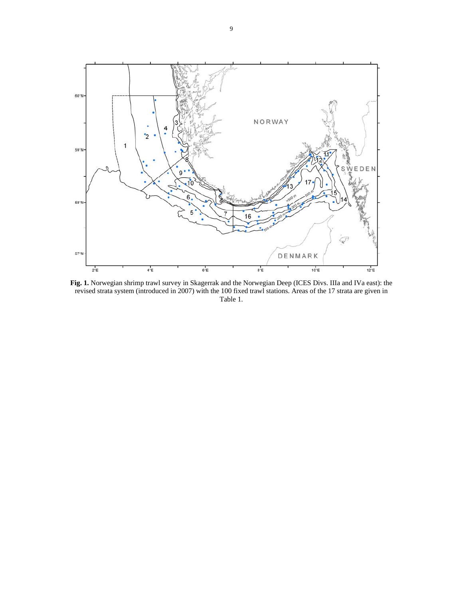

**Fig. 1.** Norwegian shrimp trawl survey in Skagerrak and the Norwegian Deep (ICES Divs. IIIa and IVa east): the revised strata system (introduced in 2007) with the 100 fixed trawl stations. Areas of the 17 strata are given in Table 1.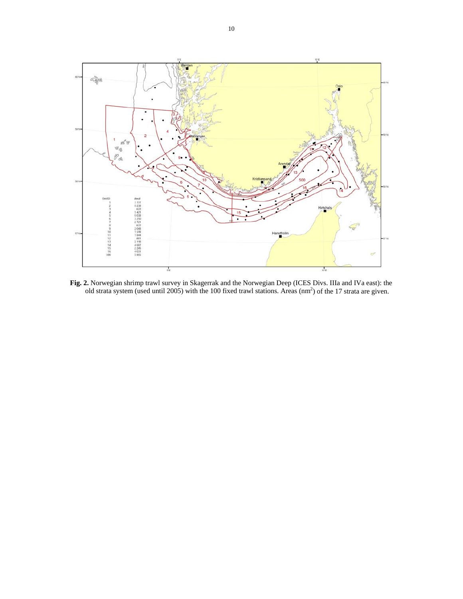

**Fig. 2.** Norwegian shrimp trawl survey in Skagerrak and the Norwegian Deep (ICES Divs. IIIa and IVa east): the old strata system (used until 2005) with the 100 fixed trawl stations. Areas  $(nm^2)$  of the 17 strata are given.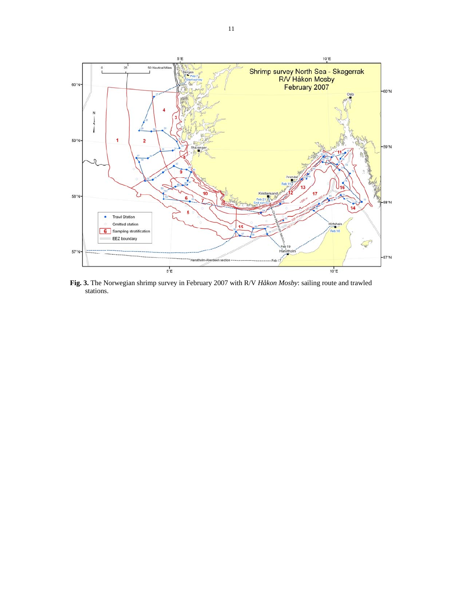

**Fig. 3.** The Norwegian shrimp survey in February 2007 with R/V *Håkon Mosby*: sailing route and trawled stations.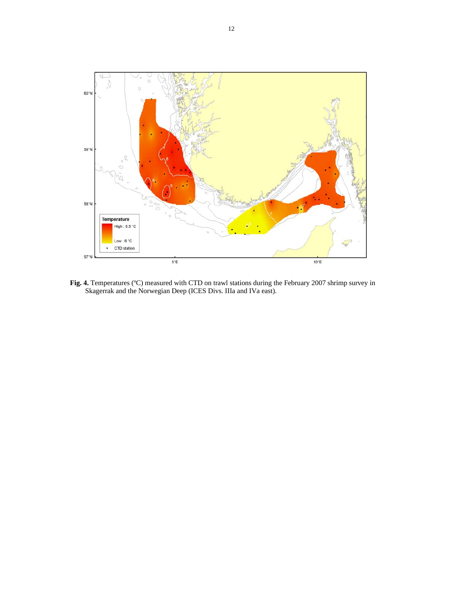

**Fig. 4.** Temperatures (ºC) measured with CTD on trawl stations during the February 2007 shrimp survey in Skagerrak and the Norwegian Deep (ICES Divs. IIIa and IVa east).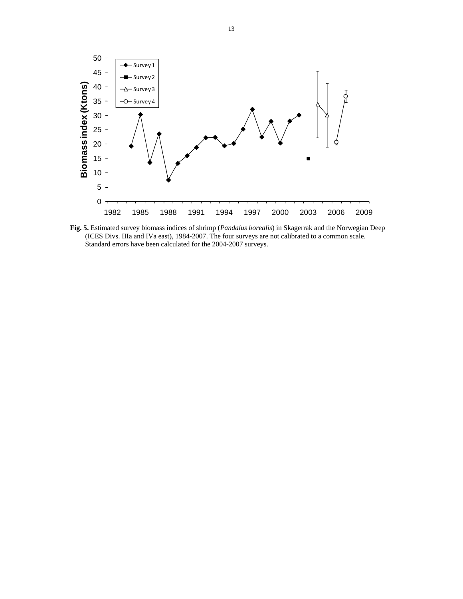

**Fig. 5.** Estimated survey biomass indices of shrimp (*Pandalus borealis*) in Skagerrak and the Norwegian Deep (ICES Divs. IIIa and IVa east), 1984-2007. The four surveys are not calibrated to a common scale. Standard errors have been calculated for the 2004-2007 surveys.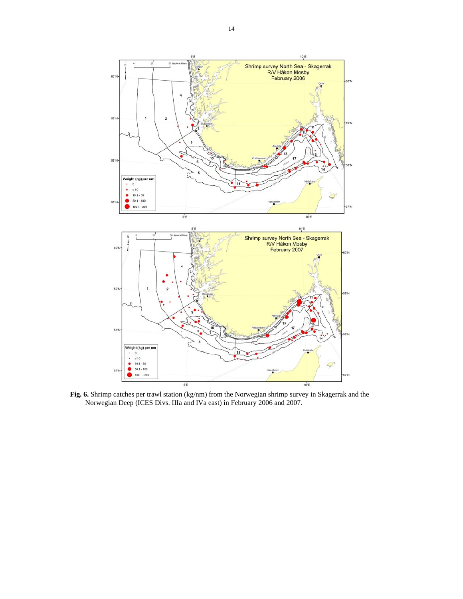

Fig. 6. Shrimp catches per trawl station (kg/nm) from the Norwegian shrimp survey in Skagerrak and the Norwegian Deep (ICES Divs. IIIa and IVa east) in February 2006 and 2007.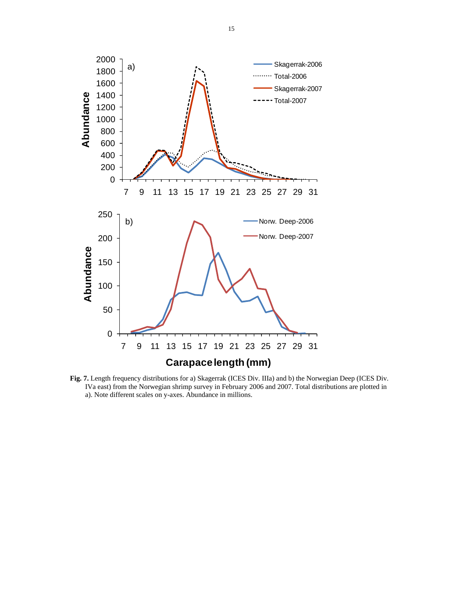

**Fig. 7.** Length frequency distributions for a) Skagerrak (ICES Div. IIIa) and b) the Norwegian Deep (ICES Div. IVa east) from the Norwegian shrimp survey in February 2006 and 2007. Total distributions are plotted in a). Note different scales on y-axes. Abundance in millions.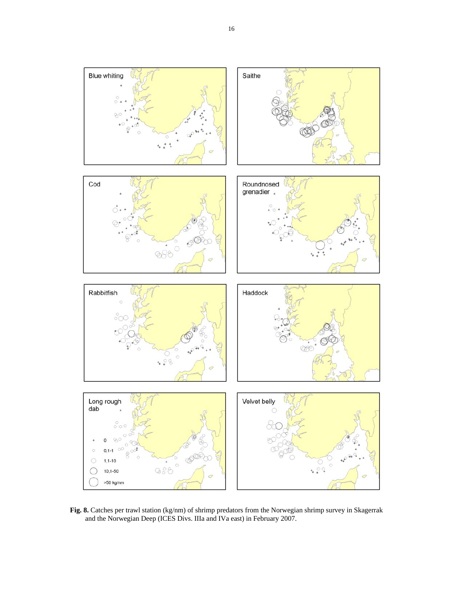

**Fig. 8.** Catches per trawl station (kg/nm) of shrimp predators from the Norwegian shrimp survey in Skagerrak and the Norwegian Deep (ICES Divs. IIIa and IVa east) in February 2007.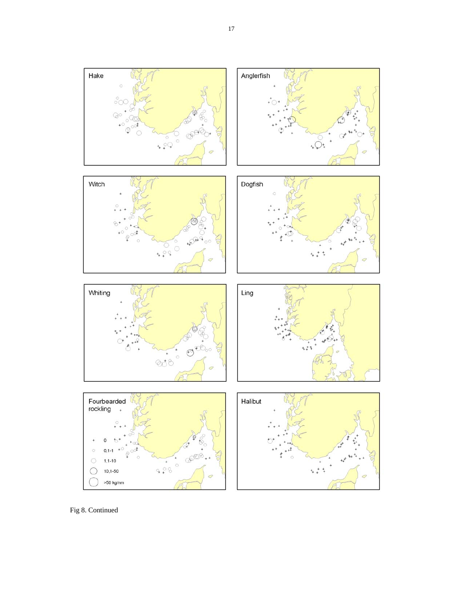

Fig 8. Continued